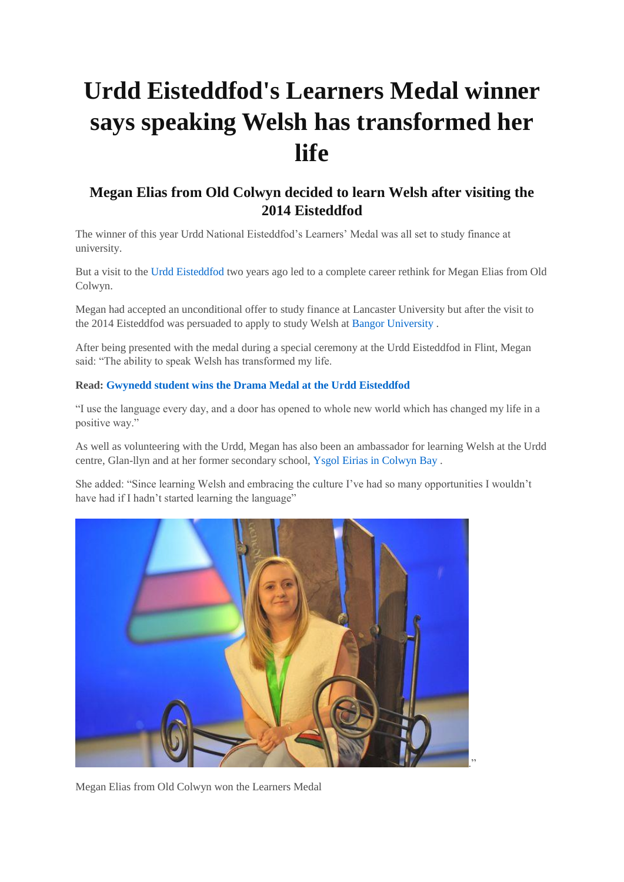## **Urdd Eisteddfod's Learners Medal winner says speaking Welsh has transformed her life**

## **Megan Elias from Old Colwyn decided to learn Welsh after visiting the 2014 Eisteddfod**

The winner of this year Urdd National Eisteddfod's Learners' Medal was all set to study finance at university.

But a visit to the [Urdd Eisteddfod](http://www.dailypost.co.uk/all-about/urdd-eisteddfod) two years ago led to a complete career rethink for Megan Elias from Old Colwyn.

Megan had accepted an unconditional offer to study finance at Lancaster University but after the visit to the 2014 Eisteddfod was persuaded to apply to study Welsh at [Bangor University](http://www.dailypost.co.uk/all-about/bangor-university) .

After being presented with the medal during a special ceremony at the Urdd Eisteddfod in Flint, Megan said: "The ability to speak Welsh has transformed my life.

## **Read: [Gwynedd student wins the Drama Medal at the Urdd Eisteddfod](http://www.dailypost.co.uk/whats-on/arts-culture-news/gwynedd-student-wins-drama-medal-11414674)**

"I use the language every day, and a door has opened to whole new world which has changed my life in a positive way."

As well as volunteering with the Urdd, Megan has also been an ambassador for learning Welsh at the Urdd centre, Glan-llyn and at her former secondary school, [Ysgol Eirias in Colwyn Bay](http://www.dailypost.co.uk/all-about/eirias-high-school) .

She added: "Since learning Welsh and embracing the culture I've had so many opportunities I wouldn't have had if I hadn't started learning the language"



Megan Elias from Old Colwyn won the Learners Medal